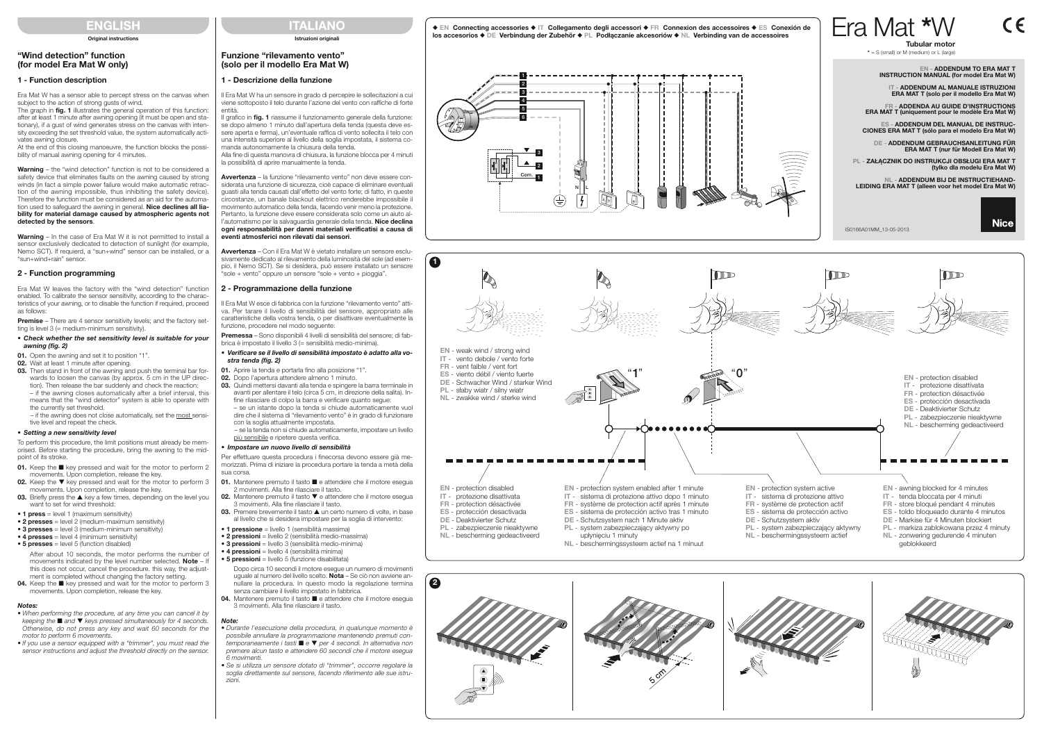# ENGLISH

**Original instructions** 

# ITALIANO

### Istruzioni originali

# Funzione "rilevamento vento" (solo per il modello Era Mat W)

## 1 - Descrizione della funzione

Il Era Mat W ha un sensore in grado di percepire le sollecitazioni a cui viene sottoposto il telo durante l'azione del vento con raffiche di forte entità.

Il grafico in fig. 1 riassume il funzionamento generale della funzione: se dopo almeno 1 minuto dall'apertura della tenda (questa deve essere aperta e ferma), un'eventuale raffica di vento sollecita il telo con una intensità superiore al livello della soglia impostata, il sistema comanda autonomamente la chiusura della tenda.

Alla fine di questa manovra di chiusura, la funzione blocca per 4 minuti la possibilità di aprire manualmente la tenda.

Premessa – Sono disponibili 4 livelli di sensibilità del sensore; di fabbrica è impostato il livello 3 (= sensibilità medio-minima).

Avvertenza – la funzione "rilevamento vento" non deve essere considerata una funzione di sicurezza, cioè capace di eliminare eventuali guasti alla tenda causati dall'effetto del vento forte; di fatto, in queste circostanze, un banale blackout elettrico renderebbe impossibile il movimento automatico della tenda, facendo venir meno la protezione. Pertanto, la funzione deve essere considerata solo come un aiuto all'automatismo per la salvaguardia generale della tenda. Nice declina ogni responsabilità per danni materiali verificatisi a causa di eventi atmosferici non rilevati dai sensori.

Avvertenza – Con il Era Mat W è vietato installare un sensore esclusivamente dedicato al rilevamento della luminosità del sole (ad esempio, il Nemo SCT). Se si desidera, può essere installato un sensore "sole + vento" oppure un sensore "sole + vento + pioggia".

## 2 - Programmazione della funzione

Il Era Mat W esce di fabbrica con la funzione "rilevamento vento" attiva. Per tarare il livello di sensibilità del sensore, appropriato alle caratteristiche della vostra tenda, o per disattivare eventualmente la funzione, procedere nel modo seguente:

#### • Verificare se il livello di sensibilità impostato è adatto alla vostra tenda (fig. 2)

Era Mat W has a sensor able to percept stress on the canvas when subject to the action of strong gusts of wind.

- 01. Aprire la tenda e portarla fino alla posizione "1".
- 02. Dopo l'apertura attendere almeno 1 minuto.
- 03. Quindi mettersi davanti alla tenda e spingere la barra terminale in avanti per allentare il telo (circa 5 cm, in direzione della salita). Infine rilasciare di colpo la barra e verificare quanto segue:
- se un istante dopo la tenda si chiude automaticamente vuol dire che il sistema di "rilevamento vento" è in grado di funzionare con la soglia attualmente impostata.

The graph in fig. 1 illustrates the general operation of this function: after at least 1 minute after awning opening (it must be open and stationary), if a gust of wind generates stress on the canvas with intensity exceeding the set threshold value, the system automatically activates awning closure.

> – se la tenda non si chiude automaticamente, impostare un livello più sensibile e ripetere questa verifica.

Warning – the "wind detection" function is not to be considered a safety device that eliminates faults on the awning caused by strong winds (in fact a simple power failure would make automatic retraction of the awning impossible, thus inhibiting the safety device). Therefore the function must be considered as an aid for the automation used to safeguard the awning in general. **Nice declines all lia**bility for material damage caused by atmospheric agents not detected by the sensors.

#### • Impostare un nuovo livello di sensibilità

Warning – In the case of Fra Mat W it is not permitted to install a sensor exclusively dedicated to detection of sunlight (for example, Nemo SCT). If requierd, a "sun+wind" sensor can be installed, or a "sun+wind+rain" sensor.

Premise - There are 4 sensor sensitivity levels; and the factory setting is level 3 (= medium-minimum sensitivity).

- Per effettuare questa procedura i finecorsa devono essere già memorizzati. Prima di iniziare la procedura portare la tenda a metà della sua corsa.
- 01. Mantenere premuto il tasto e attendere che il motore esegua 2 movimenti. Alla fine rilasciare il tasto.
- 02. Mantenere premuto il tasto ▼ e attendere che il motore esegua 3 movimenti. Alla fine rilasciare il tasto.
- 03. Premere brevemente il tasto  $\triangle$  un certo numero di volte, in base al livello che si desidera impostare per la soglia di intervento:
- **1 pressione** = livello 1 (sensibilità massima)
- 2 pressioni = livello 2 (sensibilità medio-massima)
- 3 pressioni = livello 3 (sensibilità medio-minima)
- $\bullet$  4 pressioni = livello 4 (sensibilità minima)  $\bullet$  5 pressioni = livello 5 (funzione disabilitata)
- Dopo circa 10 secondi il motore esegue un numero di movimenti uguale al numero del livello scelto. Nota - Se ciò non avviene annullare la procedura. In questo modo la regolazione termina
- senza cambiare il livello impostato in fabbrica. 04. Mantenere premuto il tasto e attendere che il motore esegua 3 movimenti. Alla fine rilasciare il tasto.
- Note:
- Durante l'esecuzione della procedura, in qualunque momento è possibile annullare la programmazione mantenendo premuti contemporaneamente i tasti $\blacksquare$ e $\blacktriangledown$  per 4 secondi. In alternativa non premere alcun tasto e attendere 60 secondi che il motore esegua 6 movimenti.
- Se si utilizza un sensore dotato di "trimmer", occorre regolare la soglia direttamente sul sensore, facendo riferimento alle sue istruzioni.

**04.** Keep the  $\blacksquare$  key pressed and wait for the motor to perform 3 movements. Upon completion, release the key.

## "Wind detection" function (for model Era Mat W only)

## 1 - Function description

At the end of this closing manoeuvre, the function blocks the possibility of manual awning opening for 4 minutes.

### 2 - Function programming

Era Mat W leaves the factory with the "wind detection" function enabled. To calibrate the sensor sensitivity, according to the characteristics of your awning, or to disable the function if required, proceed as follows:

#### • Check whether the set sensitivity level is suitable for your awning (fig. 2)

- 01. Open the awning and set it to position "1".
- 02. Wait at least 1 minute after opening.
- 03. Then stand in front of the awning and push the terminal bar forwards to loosen the canvas (by approx. 5 cm in the UP direction). Then release the bar suddenly and check the reaction: – if the awning closes automatically after a brief interval, this means that the "wind detector" system is able to operate with the currently set threshold.
- if the awning does not close automatically, set the most sensitive level and repeat the check.

#### • Setting a new sensitivity level

To perform this procedure, the limit positions must already be memorised. Before starting the procedure, bring the awning to the midpoint of its stroke.

- 01. Keep the  $\blacksquare$  key pressed and wait for the motor to perform 2 movements. Upon completion, release the key.
- 02. Keep the  $\blacktriangledown$  key pressed and wait for the motor to perform 3 movements. Upon completion, release the key.
- 03. Briefly press the  $\blacktriangle$  key a few times, depending on the level you want to set for wind threshold:
- $\bullet$  1 press = level 1 (maximum sensitivity)
- 2 presses = level 2 (medium-maximum sensitivity)
- 3 presses  $=$  level 3 (medium-minimum sensitivity)
- $\bullet$  4 presses = level 4 (minimum sensitivity)
- $\bullet$  5 presses = level 5 (function disabled)

After about 10 seconds, the motor performs the number of movements indicated by the level number selected. Note – If this does not occur, cancel the procedure. this way, the adjustment is completed without changing the factory setting.

### Notes:

- When performing the procedure, at any time you can cancel it by keeping the  $\blacksquare$  and  $\blacktriangledown$  keys pressed simultaneously for 4 seconds. Otherwise, do not press any key and wait 60 seconds for the motor to perform 6 movements.
- If you use a sensor equipped with a "trimmer", you must read the sensor instructions and adjust the threshold directly on the sensor.









- 
- 
-